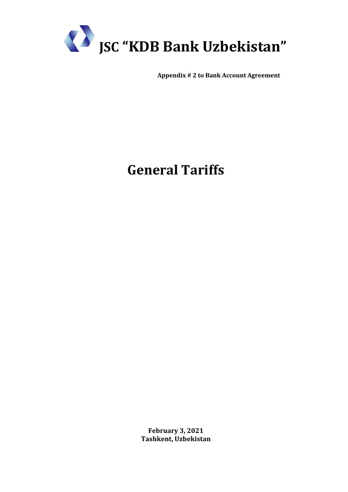

**Appendix # 2 to Bank Account Agreement**

## **General Tariffs**

**February 3, 2021 Tashkent, Uzbekistan**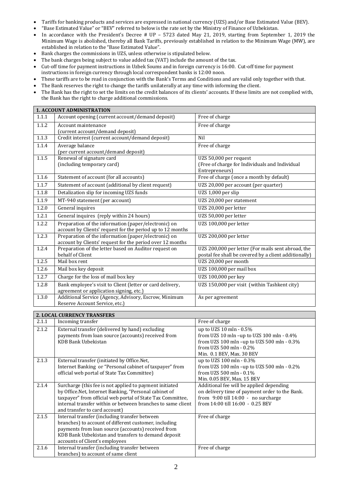- Tariffs for banking products and services are expressed in national currency (UZS) and/or Base Estimated Value (BEV).
- "Base Estimated Value" or "BEV" referred to below is the rate set by the Ministry of Finance of Uzbekistan.
- In accordance with the President's Decree # UP 5723 dated May 21, 2019, starting from September 1, 2019 the Minimum Wage is abolished, thereby all Bank Tariffs, previously established in relation to the Minimum Wage (MW), are established in relation to the "Base Estimated Value".
- Bank charges the commissions in UZS, unless otherwise is stipulated below.
- The bank charges being subject to value added tax (VAT) include the amount of the tax.
- Cut-off time for payment instructions in Uzbek Soums and in foreign currency is 16:00. Cut-off time for payment instructions in foreign currency through local correspondent banks is 12:00 noon.
- These tariffs are to be read in conjunction with the Bank's Terms and Conditions and are valid only together with that.
- The Bank reserves the right to change the tariffs unilaterally at any time with informing the client.
- The Bank has the right to set the limits on the credit balances of its clients' accounts. If these limits are not complied with, the Bank has the right to charge additional commissions.

| 1. ACCOUNT ADMINISTRATION |                                                                                                                                                                                                                                                                                |                                                                                                                                                                            |  |
|---------------------------|--------------------------------------------------------------------------------------------------------------------------------------------------------------------------------------------------------------------------------------------------------------------------------|----------------------------------------------------------------------------------------------------------------------------------------------------------------------------|--|
| 1.1.1                     | Account opening (current account/demand deposit)                                                                                                                                                                                                                               | Free of charge                                                                                                                                                             |  |
| 1.1.2                     | Account maintenance<br>(current account/demand deposit)                                                                                                                                                                                                                        | Free of charge                                                                                                                                                             |  |
| 1.1.3                     | Credit interest (current account/demand deposit)                                                                                                                                                                                                                               | Nil                                                                                                                                                                        |  |
| 1.1.4                     | Average balance<br>(per current account/demand deposit)                                                                                                                                                                                                                        | Free of charge                                                                                                                                                             |  |
| 1.1.5                     | Renewal of signature card<br>(including temporary card)                                                                                                                                                                                                                        | UZS 50,000 per request<br>(Free of charge for Individuals and Individual<br>Entrepreneurs)                                                                                 |  |
| 1.1.6                     | Statement of account (for all accounts)                                                                                                                                                                                                                                        | Free of charge (once a month by default)                                                                                                                                   |  |
| 1.1.7                     | Statement of account (additional by client request)                                                                                                                                                                                                                            | UZS 20,000 per account (per quarter)                                                                                                                                       |  |
| 1.1.8                     | Detalization slip for incoming UZS funds                                                                                                                                                                                                                                       | UZS 1,000 per slip                                                                                                                                                         |  |
| 1.1.9                     | MT-940 statement (per account)                                                                                                                                                                                                                                                 | UZS 20,000 per statement                                                                                                                                                   |  |
| 1.2.0                     | General inquires                                                                                                                                                                                                                                                               | UZS 20,000 per letter                                                                                                                                                      |  |
| 1.2.1                     | General inquires (reply within 24 hours)                                                                                                                                                                                                                                       | UZS 50,000 per letter                                                                                                                                                      |  |
| 1.2.2                     | Preparation of the information (paper/electronic) on<br>account by Clients' request for the period up to 12 months                                                                                                                                                             | UZS 100,000 per letter                                                                                                                                                     |  |
| 1.2.3                     | Preparation of the information (paper/electronic) on<br>account by Clients' request for the period over 12 months                                                                                                                                                              | UZS 200,000 per letter                                                                                                                                                     |  |
| 1.2.4                     | Preparation of the letter based on Auditor request on                                                                                                                                                                                                                          | UZS 200,000 per letter (For mails sent abroad, the                                                                                                                         |  |
| 1.2.5                     | behalf of Client<br>Mail box rent                                                                                                                                                                                                                                              | postal fee shall be covered by a client additionally)<br>UZS 20,000 per month                                                                                              |  |
| 1.2.6                     |                                                                                                                                                                                                                                                                                | UZS 100,000 per mail box                                                                                                                                                   |  |
|                           | Mail box key deposit                                                                                                                                                                                                                                                           |                                                                                                                                                                            |  |
| 1.2.7                     | Charge for the loss of mail box key                                                                                                                                                                                                                                            | UZS 100,000 per key                                                                                                                                                        |  |
| 1.2.8                     | Bank employee's visit to Client (letter or card delivery,<br>agreement or application signing, etc.)                                                                                                                                                                           | UZS 150,000 per visit (within Tashkent city)                                                                                                                               |  |
| 1.3.0                     | Additional Service (Agency, Advisory, Escrow, Minimum<br>Reserve Account Service, etc.)                                                                                                                                                                                        | As per agreement                                                                                                                                                           |  |
|                           | 2. LOCAL CURRENCY TRANSFERS                                                                                                                                                                                                                                                    |                                                                                                                                                                            |  |
| 2.1.1                     | Incoming transfer                                                                                                                                                                                                                                                              | Free of charge                                                                                                                                                             |  |
| 2.1.2                     | External transfer (delivered by hand) excluding<br>payments from loan source (accounts) received from<br><b>KDB Bank Uzbekistan</b>                                                                                                                                            | up to UZS 10 mln - 0.5%<br>from UZS 10 mln -up to UZS 100 mln - 0.4%<br>from UZS 100 mln -up to UZS 500 mln - 0.3%<br>from UZS 500 mln - 0.2%<br>Min. 0.1 BEV, Max. 30 BEV |  |
| 2.1.3                     | External transfer (initiated by Office.Net,<br>Internet Banking or "Personal cabinet of taxpayer" from<br>official web portal of State Tax Committee)                                                                                                                          | up to UZS 100 mln - 0.3%<br>from UZS 100 mln -up to UZS 500 mln - 0.2%<br>from UZS 500 mln - 0.1%<br>Min. 0.05 BEV, Max. 15 BEV                                            |  |
| 2.1.4                     | Surcharge (this fee is not applied to payment initiated<br>by Office.Net, Internet Banking, "Personal cabinet of<br>taxpayer" from official web portal of State Tax Committee,<br>internal transfer within or between branches to same client<br>and transfer to card account) | Additional fee will be applied depending<br>on delivery time of payment order to the Bank.<br>from 9:00 till 14:00 - no surcharge<br>from 14:00 till 16:00 - 0.25 BEV      |  |
| 2.1.5                     | Internal transfer (including transfer between<br>branches) to account of different customer, including<br>payments from loan source (accounts) received from<br>KDB Bank Uzbekistan and transfers to demand deposit<br>accounts of Client's employees                          | Free of charge                                                                                                                                                             |  |
| 2.1.6                     | Internal transfer (including transfer between                                                                                                                                                                                                                                  | Free of charge                                                                                                                                                             |  |

branches) to account of same client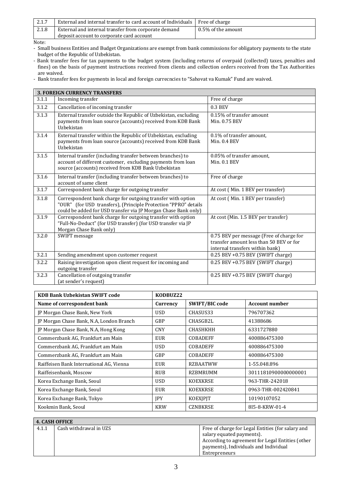| 2.1.7 | External and internal transfer to card account of Individuals Free of charge |                    |
|-------|------------------------------------------------------------------------------|--------------------|
| 2.1.8 | External and internal transfer from corporate demand                         | 0.5% of the amount |
|       | deposit account to corporate card account                                    |                    |

Note:

- Small business Entities and Budget Organizations are exempt from bank commissions for obligatory payments to the state budget of the Republic of Uzbekistan.
- Bank transfer fees for tax payments to the budget system (including returns of overpaid (collected) taxes, penalties and fines) on the basis of payment instructions received from clients and collection orders received from the Tax Authorities are waived.
- Bank transfer fees for payments in local and foreign currecncies to "Sahovat va Kumak" Fund are waived.

|       | <b>3. FOREIGN CURRENCY TRANSFERS</b>                                                                                                                                                             |                                                                                                                        |  |  |
|-------|--------------------------------------------------------------------------------------------------------------------------------------------------------------------------------------------------|------------------------------------------------------------------------------------------------------------------------|--|--|
| 3.1.1 | Incoming transfer                                                                                                                                                                                | Free of charge                                                                                                         |  |  |
| 3.1.2 | Cancellation of incoming transfer                                                                                                                                                                | $0.3$ BEV                                                                                                              |  |  |
| 3.1.3 | External transfer outside the Republic of Uzbekistan, excluding<br>payments from loan source (accounts) received from KDB Bank<br>Uzbekistan                                                     | 0.15% of transfer amount<br>Min. 0.75 BEV                                                                              |  |  |
| 3.1.4 | External transfer within the Republic of Uzbekistan, excluding<br>payments from loan source (accounts) received from KDB Bank<br>Uzbekistan                                                      | 0.1% of transfer amount,<br>Min. 0.4 BEV                                                                               |  |  |
| 3.1.5 | Internal transfer (including transfer between branches) to<br>account of different customer, excluding payments from loan<br>source (accounts) received from KDB Bank Uzbekistan                 | 0.05% of transfer amount,<br>Min. 0.1 BEV                                                                              |  |  |
| 3.1.6 | Internal transfer (including transfer between branches) to<br>account of same client                                                                                                             | Free of charge                                                                                                         |  |  |
| 3.1.7 | Correspondent bank charge for outgoing transfer                                                                                                                                                  | At cost (Min. 1 BEV per transfer)                                                                                      |  |  |
| 3.1.8 | Correspondent bank charge for outgoing transfer with option<br>"OUR" (for USD transfers), (Principle Protection "PPRO" details<br>could be added for USD transfer via JP Morgan Chase Bank only) | At cost (Min. 1 BEV per transfer)                                                                                      |  |  |
| 3.1.9 | Correspondent bank charge for outgoing transfer with option<br>"Full-No-Deduct" (for USD transfer) (for USD transfer via JP<br>Morgan Chase Bank only)                                           | At cost (Min. 1.5 BEV per transfer)                                                                                    |  |  |
| 3.2.0 | SWIFT message                                                                                                                                                                                    | 0.75 BEV per message (Free of charge for<br>transfer amount less than 50 BEV or for<br>internal transfers within bank) |  |  |
| 3.2.1 | Sending amendment upon customer request                                                                                                                                                          | 0.25 BEV +0.75 BEV (SWIFT charge)                                                                                      |  |  |
| 3.2.2 | Raising investigation upon client request for incoming and<br>outgoing transfer                                                                                                                  | 0.25 BEV +0.75 BEV (SWIFT charge)                                                                                      |  |  |
| 3.2.3 | Cancellation of outgoing transfer<br>(at sender's request)                                                                                                                                       | $0.25$ BEV +0.75 BEV (SWIFT charge)                                                                                    |  |  |

| <b>KDB Bank Uzbekistan SWIFT code</b>    | KODBUZ22   |                       |                       |
|------------------------------------------|------------|-----------------------|-----------------------|
| Name of correspondent bank               | Currency   | <b>SWIFT/BIC code</b> | <b>Account number</b> |
| JP Morgan Chase Bank, New York           | <b>USD</b> | CHASUS33              | 796707362             |
| JP Morgan Chase Bank, N.A, London Branch | GBP        | CHASGB2L              | 41388686              |
| JP Morgan Chase Bank, N.A, Hong Kong     | <b>CNY</b> | <b>CHASHKHH</b>       | 6331727880            |
| Commerzbank AG, Frankfurt am Main        | <b>EUR</b> | <b>COBADEFF</b>       | 400886475300          |
| Commerzbank AG, Frankfurt am Main        | <b>USD</b> | <b>COBADEFF</b>       | 400886475300          |
| Commerzbank AG, Frankfurt am Main        | <b>GBP</b> | <b>COBADEFF</b>       | 400886475300          |
| Raiffeisen Bank International AG, Vienna | <b>EUR</b> | <b>RZBAATWW</b>       | 1-55.048.896          |
| Raiffeisenbank, Moscow                   | <b>RUB</b> | RZBMRUMM              | 30111810900000000001  |
| Korea Exchange Bank, Seoul               | USD.       | <b>KOEXKRSE</b>       | 963-THR-242018        |
| Korea Exchange Bank, Seoul               | <b>EUR</b> | <b>KOEXKRSE</b>       | 0963-THR-002420841    |
| Korea Exchange Bank, Tokyo               | <b>IPY</b> | <b>KOEXIPIT</b>       | 10190107052           |
| Kookmin Bank, Seoul                      | <b>KRW</b> | <b>CZNBKRSE</b>       | 815-8-KRW-01-4        |

| <b>4. CASH OFFICE</b> |                        |                                                                                                                                                                             |
|-----------------------|------------------------|-----------------------------------------------------------------------------------------------------------------------------------------------------------------------------|
| 4.1.1                 | Cash withdrawal in UZS | Free of charge for Legal Entities (for salary and<br>salary equated payments).<br>According to agreement for Legal Entities (other<br>payments), Individuals and Individual |
|                       |                        | Entrepreneurs                                                                                                                                                               |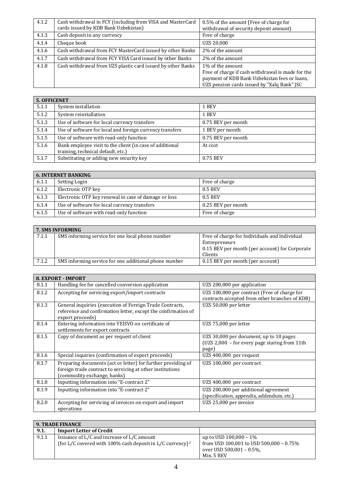| 4.1.2 | Cash withdrawal in FCY (including from VISA and MasterCard<br>cards issued by KDB Bank Uzbekistan) | 0.5% of the amount (Free of charge for<br>withdrawal of security deposit amount)                                                                                      |
|-------|----------------------------------------------------------------------------------------------------|-----------------------------------------------------------------------------------------------------------------------------------------------------------------------|
| 4.1.3 | Cash deposit in any currency                                                                       | Free of charge                                                                                                                                                        |
| 4.1.4 | Cheque book                                                                                        | UZS 20.000                                                                                                                                                            |
| 4.1.6 | Cash withdrawal from FCY MasterCard issued by other Banks                                          | 2\% of the amount                                                                                                                                                     |
| 4.1.7 | Cash withdrawal from FCY VISA Card issued by other Banks                                           | 2\% of the amount                                                                                                                                                     |
| 4.1.8 | Cash withdrawal from UZS plastic card issued by other Banks                                        | 1% of the amount<br>Free of charge if cash withdrawal is made for the<br>payment of KDB Bank Uzbekistan fees or loans,<br>UZS pension cards issued by "Xalq Bank" JSC |

|       | <b>5. OFFICENET</b>                                                                            |                    |  |
|-------|------------------------------------------------------------------------------------------------|--------------------|--|
| 5.1.1 | System installation                                                                            | 1 BEV              |  |
| 5.1.2 | System reinstallation                                                                          | 1 BEV              |  |
| 5.1.3 | Use of software for local currency transfers                                                   | 0.75 BEV per month |  |
| 5.1.4 | Use of software for local and foreign currency transfers                                       | 1 BEV per month    |  |
| 5.1.5 | Use of software with read-only function                                                        | 0.75 BEV per month |  |
| 5.1.6 | Bank employee visit to the client (in case of additional<br>training, technical default, etc.) | At cost            |  |
| 5.1.7 | Substituting or adding new security key                                                        | 0.75 BEV           |  |

| <b>6. INTERNET BANKING</b> |                                                      |                    |
|----------------------------|------------------------------------------------------|--------------------|
| 6.1.1                      | Setting Login                                        | Free of charge     |
| 6.1.2                      | Electronic OTP key                                   | 0.5 BEV            |
| 6.1.3                      | Electronic OTP key renewal in case of damage or loss | 0.5 BEV            |
| 6.1.4                      | Use of software for local currency transfers         | 0.25 BEV per month |
| 6.1.5                      | Use of software with read-only function              | Free of charge     |

| 7. SMS INFORMING |                                                       |                                                                                                                             |
|------------------|-------------------------------------------------------|-----------------------------------------------------------------------------------------------------------------------------|
| 7.1.1            | SMS informing service for one local phone number      | Free of charge for Individuals and Individual<br>Entrepreneurs<br>0.15 BEV per month (per account) for Corporate<br>Clients |
| 7.1.2            | SMS informing service for one additional phone number | 0.15 BEV per month (per account)                                                                                            |

| 8. EXPORT - IMPORT |                                                                                                                                                          |                                                                                                       |  |
|--------------------|----------------------------------------------------------------------------------------------------------------------------------------------------------|-------------------------------------------------------------------------------------------------------|--|
| 8.1.1              | Handling fee for cancelled conversion application                                                                                                        | UZS 200,000 per application                                                                           |  |
| 8.1.2              | Accepting for servicing export/import contracts                                                                                                          | UZS 100,000 per contract (Free of charge for<br>contracts accepted from other branches of KDB)        |  |
| 8.1.3              | General inquiries (execution of Foreign Trade Contracts,<br>reference and confirmation letter, except the confirmation of<br>export proceeds)            | UZS 50,000 per letter                                                                                 |  |
| 8.1.4              | Entering information into YEISVO on certificate of<br>settlements for export contracts                                                                   | UZS 75,000 per letter                                                                                 |  |
| 8.1.5              | Copy of document as per request of client                                                                                                                | UZS 30,000 per document, up to 10 pages<br>$(UZS 2,000 - for every page starting from 11th)$<br>page) |  |
| 8.1.6              | Special inquiries (confirmation of export proceeds)                                                                                                      | UZS 400,000 per request                                                                               |  |
| 8.1.7              | Preparing documents (act or letter) for further providing of<br>foreign trade contract to servicing at other institutions<br>(commodity exchange, banks) | UZS 100,000 per contract                                                                              |  |
| 8.1.8              | Inputting information into "E-contract 2"                                                                                                                | UZS 400,000 per contract                                                                              |  |
| 8.1.9              | Inputting information into "E-contract 2"                                                                                                                | UZS 200,000 per additional agreement<br>(specification, appendix, addendum, etc.)                     |  |
| 8.2.0              | Accepting for servicing of invoices on export and import<br>operations                                                                                   | UZS 25,000 per invoice                                                                                |  |

| <b>9. TRADE FINANCE</b> |                                                                |                                         |
|-------------------------|----------------------------------------------------------------|-----------------------------------------|
| 9.1.                    | <b>Import Letter of Credit</b>                                 |                                         |
| 9.1.1                   | Issuance of L/C and increase of L/C amount                     | up to USD $100,000 - 1\%$               |
|                         | (for L/C covered with 100% cash deposit in L/C currency) $2^2$ | from USD 100,001 to USD 500,000 - 0.75% |
|                         |                                                                | over USD $500,001 - 0.5\%$ .            |
|                         |                                                                | Min. 5 BEV                              |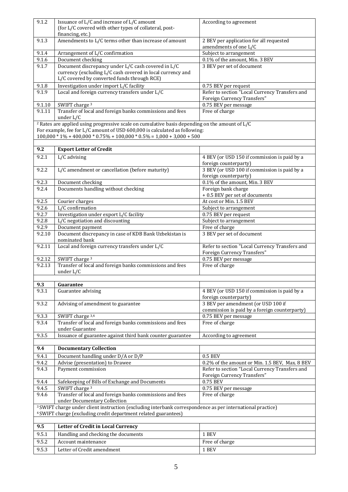| 9.1.2  | Issuance of $L/C$ and increase of $L/C$ amount                                                                        | According to agreement                         |
|--------|-----------------------------------------------------------------------------------------------------------------------|------------------------------------------------|
|        | (for L/C covered with other types of collateral, post-                                                                |                                                |
|        | financing, etc.)                                                                                                      |                                                |
| 9.1.3  | Amendments to L/C terms other than increase of amount                                                                 | 2 BEV per application for all requested        |
|        |                                                                                                                       | amendments of one L/C                          |
| 9.1.4  | Arrangement of L/C confirmation                                                                                       | Subject to arrangement                         |
| 9.1.6  | Document checking                                                                                                     | 0.1% of the amount, Min. 3 BEV                 |
| 9.1.7  | Document discrepancy under L/C cash covered in L/C                                                                    | 3 BEV per set of document                      |
|        | currency (excluding L/C cash covered in local currency and                                                            |                                                |
|        | L/C covered by converted funds through RCE)                                                                           |                                                |
| 9.1.8  | Investigation under import L/C facility                                                                               | 0.75 BEV per request                           |
| 9.1.9  | Local and foreign currency transfers under L/C                                                                        | Refer to section "Local Currency Transfers and |
|        |                                                                                                                       | Foreign Currency Transfers"                    |
| 9.1.10 | SWIFT charge <sup>3</sup>                                                                                             | 0.75 BEV per message                           |
| 9.1.11 | Transfer of local and foreign banks commissions and fees                                                              | Free of charge                                 |
|        | under L/C                                                                                                             |                                                |
|        | <sup>2</sup> Rates are applied using progressive scale on cumulative basis depending on the amount of L/C             |                                                |
|        | For example, fee for L/C amount of USD 600,000 is calculated as following:                                            |                                                |
|        | $100,000 * 1\% + 400,000 * 0.75\% + 100,000 * 0.5\% = 1,000 + 3,000 + 500$                                            |                                                |
|        |                                                                                                                       |                                                |
| 9.2    | <b>Export Letter of Credit</b>                                                                                        |                                                |
|        |                                                                                                                       |                                                |
| 9.2.1  | L/C advising                                                                                                          | 4 BEV (or USD 150 if commission is paid by a   |
|        |                                                                                                                       | foreign counterparty)                          |
| 9.2.2  | L/C amendment or cancellation (before maturity)                                                                       | 3 BEV (or USD 100 if commission is paid by a   |
|        |                                                                                                                       | foreign counterparty)                          |
| 9.2.3  | Document checking                                                                                                     | 0.1% of the amount, Min. 3 BEV                 |
| 9.2.4  | Documents handling without checking                                                                                   | Foreign bank charge                            |
|        |                                                                                                                       | + 0.5 BEV per set of documents                 |
| 9.2.5  | Courier charges                                                                                                       | At cost or Min. 1.5 BEV                        |
| 9.2.6  | L/C confirmation                                                                                                      | Subject to arrangement                         |
| 9.2.7  | Investigation under export L/C facility                                                                               | 0.75 BEV per request                           |
| 9.2.8  | L/C negotiation and discounting                                                                                       | Subject to arrangement                         |
| 9.2.9  | Document payment                                                                                                      | Free of charge                                 |
| 9.2.10 | Document discrepancy in case of KDB Bank Uzbekistan is                                                                | 3 BEV per set of document                      |
|        | nominated bank                                                                                                        |                                                |
| 9.2.11 | Local and foreign currency transfers under L/C                                                                        | Refer to section "Local Currency Transfers and |
|        |                                                                                                                       | Foreign Currency Transfers"                    |
| 9.2.12 | SWIFT charge <sup>3</sup>                                                                                             | 0.75 BEV per message                           |
| 9.2.13 | Transfer of local and foreign banks commissions and fees                                                              | Free of charge                                 |
|        | under L/C                                                                                                             |                                                |
|        |                                                                                                                       |                                                |
| 9.3    | Guarantee                                                                                                             |                                                |
| 9.3.1  | Guarantee advising                                                                                                    | 4 BEV (or USD 150 if commission is paid by a   |
|        |                                                                                                                       | foreign counterparty)                          |
| 9.3.2  | Advising of amendment to guarantee                                                                                    | 3 BEV per amendment (or USD 100 if             |
|        |                                                                                                                       | commission is paid by a foreign counterparty)  |
| 9.3.3  | SWIFT charge 3,4                                                                                                      | 0.75 BEV per message                           |
| 9.3.4  | Transfer of local and foreign banks commissions and fees                                                              | Free of charge                                 |
|        | under Guarantee                                                                                                       |                                                |
| 9.3.5  | Issuance of guarantee against third bank counter guarantee                                                            | According to agreement                         |
|        |                                                                                                                       |                                                |
| 9.4    | <b>Documentary Collection</b>                                                                                         |                                                |
| 9.4.1  | Document handling under D/A or D/P                                                                                    | 0.5 BEV                                        |
| 9.4.2  | Advise (presentation) to Drawee                                                                                       | 0.2% of the amount or Min. 1.5 BEV, Max. 8 BEV |
| 9.4.3  | Payment commission                                                                                                    | Refer to section "Local Currency Transfers and |
|        |                                                                                                                       | Foreign Currency Transfers"                    |
| 9.4.4  | Safekeeping of Bills of Exchange and Documents                                                                        | 0.75 BEV                                       |
| 9.4.5  | SWIFT charge <sup>3</sup>                                                                                             | 0.75 BEV per message                           |
| 9.4.6  | Transfer of local and foreign banks commissions and fees                                                              | Free of charge                                 |
|        | under Documentary Collection                                                                                          |                                                |
|        | <sup>3</sup> SWIFT charge under client instruction (excluding interbank correspondence as per international practice) |                                                |
|        | <sup>4</sup> SWIFT charge (excluding credit department related guarantees)                                            |                                                |
|        |                                                                                                                       |                                                |
| 9.5    | Letter of Credit in Local Currency                                                                                    |                                                |
|        |                                                                                                                       |                                                |
| 9.5.1  | Handling and checking the documents                                                                                   | 1 BEV                                          |
| 9.5.2  | Account maintenance                                                                                                   | Free of charge                                 |
|        |                                                                                                                       |                                                |
| 9.5.3  | Letter of Credit amendment                                                                                            | 1 BEV                                          |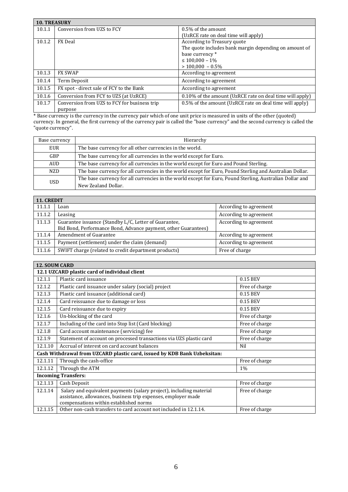| <b>10. TREASURY</b> |                                              |                                                          |
|---------------------|----------------------------------------------|----------------------------------------------------------|
| 10.1.1              | Conversion from UZS to FCY                   | 0.5% of the amount                                       |
|                     |                                              | (UzRCE rate on deal time will apply)                     |
| 10.1.2              | <b>FX</b> Deal                               | According to Treasury quote                              |
|                     |                                              | The quote includes bank margin depending on amount of    |
|                     |                                              | base currency *                                          |
|                     |                                              | $\leq 100,000 - 1\%$                                     |
|                     |                                              | $>100.000 - 0.5\%$                                       |
| 10.1.3              | <b>FX SWAP</b>                               | According to agreement                                   |
| 10.1.4              | Term Deposit                                 | According to agreement                                   |
| 10.1.5              | FX spot - direct sale of FCY to the Bank     | According to agreement                                   |
| 10.1.6              | Conversion from FCY to UZS (at UzRCE)        | 0.10% of the amount (UzRCE rate on deal time will apply) |
| 10.1.7              | Conversion from UZS to FCY for business trip | 0.5% of the amount (UzRCE rate on deal time will apply)  |
|                     | purpose                                      |                                                          |

\* Base currency is the currency in the currency pair which of one unit price is measured in units of the other (quoted) currency. In general, the first currency of the currency pair is called the "base currency" and the second currency is called the "quote currency".

| Base currency | Hierarchy                                                                                                |  |
|---------------|----------------------------------------------------------------------------------------------------------|--|
| EUR           | The base currency for all other currencies in the world.                                                 |  |
| <b>GBP</b>    | The base currency for all currencies in the world except for Euro.                                       |  |
| <b>AUD</b>    | The base currency for all currencies in the world except for Euro and Pound Sterling.                    |  |
| NZD.          | The base currency for all currencies in the world except for Euro, Pound Sterling and Australian Dollar. |  |
| USD.          | The base currency for all currencies in the world except for Euro, Pound Sterling, Australian Dollar and |  |
|               | New Zealand Dollar.                                                                                      |  |

| 11. CREDIT |                                                                                                                         |                        |
|------------|-------------------------------------------------------------------------------------------------------------------------|------------------------|
| 11.1.1     | Loan                                                                                                                    | According to agreement |
| 11.1.2     | Leasing                                                                                                                 | According to agreement |
| 11.1.3     | Guarantee issuance (Standby L/C, Letter of Guarantee,<br>Bid Bond, Performance Bond, Advance payment, other Guarantees) | According to agreement |
| 11.1.4     | Amendment of Guarantee                                                                                                  | According to agreement |
| 11.1.5     | Payment (settlement) under the claim (demand)                                                                           | According to agreement |
| 11.1.6     | SWIFT charge (related to credit department products)                                                                    | Free of charge         |

| <b>12. SOUM CARD</b>                          |                                                                                                                                      |                |
|-----------------------------------------------|--------------------------------------------------------------------------------------------------------------------------------------|----------------|
| 12.1 UZCARD plastic card of individual client |                                                                                                                                      |                |
| 12.1.1                                        | Plastic card issuance                                                                                                                | 0.15 BEV       |
| 12.1.2                                        | Plastic card issuance under salary (social) project                                                                                  | Free of charge |
| 12.1.3                                        | Plastic card issuance (additional card)                                                                                              | 0.15 BEV       |
| 12.1.4                                        | Card reissuance due to damage or loss                                                                                                | 0.15 BEV       |
| 12.1.5                                        | Card reissuance due to expiry                                                                                                        | 0.15 BEV       |
| 12.1.6                                        | Un-blocking of the card                                                                                                              | Free of charge |
| 12.1.7                                        | Including of the card into Stop list (Card blocking)                                                                                 | Free of charge |
| 12.1.8                                        | Card account maintenance (servicing) fee                                                                                             | Free of charge |
| 12.1.9                                        | Statement of account on processed transactions via UZS plastic card                                                                  | Free of charge |
| 12.1.10                                       | Accrual of interest on card account balances                                                                                         | Nil            |
|                                               | Cash Withdrawal from UZCARD plastic card, issued by KDB Bank Uzbeksitan:                                                             |                |
| 12.1.11                                       | Through the cash-office                                                                                                              | Free of charge |
| 12.1.12                                       | Through the ATM                                                                                                                      | $1\%$          |
| <b>Incoming Transfers:</b>                    |                                                                                                                                      |                |
| 12.1.13                                       | Cash Deposit                                                                                                                         | Free of charge |
| 12.1.14                                       | Salary and equivalent payments (salary project), including material<br>assistance, allowances, business trip expenses, employer made | Free of charge |
| 12.1.15                                       | compensations within established norms<br>Other non-cash transfers to card account not included in 12.1.14.                          | Free of charge |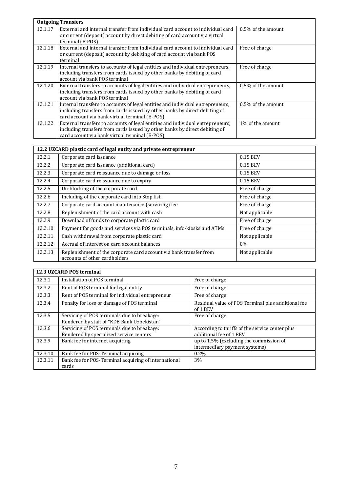|         | <b>Outgoing Transfers</b>                                                                                                                                                                                      |                    |
|---------|----------------------------------------------------------------------------------------------------------------------------------------------------------------------------------------------------------------|--------------------|
| 12.1.17 | External and internal transfer from individual card account to individual card<br>or current (deposit) account by direct debiting of card account via virtual<br>terminal (E-POS)                              | 0.5% of the amount |
| 12.1.18 | External and internal transfer from individual card account to individual card<br>or current (deposit) account by debiting of card account via bank POS<br>terminal                                            | Free of charge     |
| 12.1.19 | Internal transfers to accounts of legal entities and individual entrepreneurs,<br>including transfers from cards issued by other banks by debiting of card<br>account via bank POS terminal                    | Free of charge     |
| 12.1.20 | External transfers to accounts of legal entities and individual entrepreneurs,<br>including transfers from cards issued by other banks by debiting of card<br>account via bank POS terminal                    | 0.5% of the amount |
| 12.1.21 | Internal transfers to accounts of legal entities and individual entrepreneurs,<br>including transfers from cards issued by other banks by direct debiting of<br>card account via bank virtual terminal (E-POS) | 0.5% of the amount |
| 12.1.22 | External transfers to accounts of legal entities and individual entrepreneurs,<br>including transfers from cards issued by other banks by direct debiting of<br>card account via bank virtual terminal (E-POS) | 1% of the amount   |

| 12.2 UZCARD plastic card of legal entity and private entrepreneur |                                                                                                     |                |
|-------------------------------------------------------------------|-----------------------------------------------------------------------------------------------------|----------------|
| 12.2.1                                                            | Corporate card issuance                                                                             | 0.15 BEV       |
| 12.2.2                                                            | Corporate card issuance (additional card)                                                           | 0.15 BEV       |
| 12.2.3                                                            | Corporate card reissuance due to damage or loss                                                     | 0.15 BEV       |
| 12.2.4                                                            | Corporate card reissuance due to expiry                                                             | 0.15 BEV       |
| 12.2.5                                                            | Un-blocking of the corporate card                                                                   | Free of charge |
| 12.2.6                                                            | Including of the corporate card into Stop list                                                      | Free of charge |
| 12.2.7                                                            | Corporate card account maintenance (servicing) fee                                                  | Free of charge |
| 12.2.8                                                            | Replenishment of the card account with cash                                                         | Not applicable |
| 12.2.9                                                            | Download of funds to corporate plastic card                                                         | Free of charge |
| 12.2.10                                                           | Payment for goods and services via POS terminals, info-kiosks and ATMs                              | Free of charge |
| 12.2.11                                                           | Cash withdrawal from corporate plastic card                                                         | Not applicable |
| 12.2.12                                                           | Accrual of interest on card account balances                                                        | $0\%$          |
| 12.2.13                                                           | Replenishment of the corporate card account via bank transfer from<br>accounts of other cardholders | Not applicable |

|         | <b>12.3 UZCARD POS terminal</b>                                                           |                                                                            |  |  |
|---------|-------------------------------------------------------------------------------------------|----------------------------------------------------------------------------|--|--|
| 12.3.1  | Installation of POS terminal                                                              | Free of charge                                                             |  |  |
| 12.3.2  | Rent of POS terminal for legal entity                                                     | Free of charge                                                             |  |  |
| 12.3.3  | Rent of POS terminal for individual entrepreneur                                          | Free of charge                                                             |  |  |
| 12.3.4  | Penalty for loss or damage of POS terminal                                                | Residual value of POS Terminal plus additional fee<br>of 1 BEV             |  |  |
| 12.3.5  | Servicing of POS terminals due to breakage:<br>Rendered by staff of "KDB Bank Uzbekistan" | Free of charge                                                             |  |  |
| 12.3.6  | Servicing of POS terminals due to breakage:<br>Rendered by specialized service centers    | According to tariffs of the service center plus<br>additional fee of 1 BEV |  |  |
| 12.3.9  | Bank fee for internet acquiring                                                           | up to 1.5% (excluding the commission of<br>intermediary payment systems)   |  |  |
| 12.3.10 | Bank fee for POS-Terminal acquiring                                                       | $0.2\%$                                                                    |  |  |
| 12.3.11 | Bank fee for POS-Terminal acquiring of international<br>cards                             | 3%                                                                         |  |  |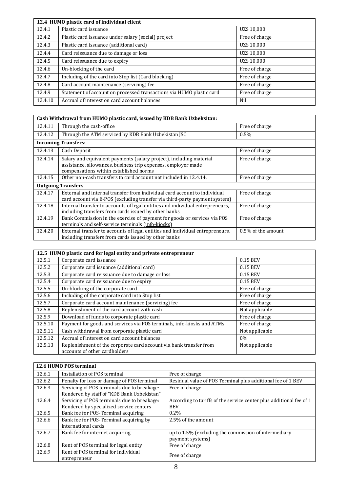| 12.4 HUMO plastic card of individual client |                                                                      |                |
|---------------------------------------------|----------------------------------------------------------------------|----------------|
| 12.4.1                                      | Plastic card issuance                                                | UZS 10,000     |
| 12.4.2                                      | Plastic card issuance under salary (social) project                  | Free of charge |
| 12.4.3                                      | Plastic card issuance (additional card)                              | UZS 10,000     |
| 12.4.4                                      | Card reissuance due to damage or loss                                | UZS 10,000     |
| 12.4.5                                      | Card reissuance due to expiry                                        | UZS 10,000     |
| 12.4.6                                      | Un-blocking of the card                                              | Free of charge |
| 12.4.7                                      | Including of the card into Stop list (Card blocking)                 | Free of charge |
| 12.4.8                                      | Card account maintenance (servicing) fee                             | Free of charge |
| 12.4.9                                      | Statement of account on processed transactions via HUMO plastic card | Free of charge |
| 12.4.10                                     | Accrual of interest on card account balances                         | Nil            |

| Cash Withdrawal from HUMO plastic card, issued by KDB Bank Uzbeksitan: |                                                                                                                                                                                |                    |
|------------------------------------------------------------------------|--------------------------------------------------------------------------------------------------------------------------------------------------------------------------------|--------------------|
| 12.4.11                                                                | Through the cash-office                                                                                                                                                        | Free of charge     |
| 12.4.12                                                                | Through the ATM serviced by KDB Bank Uzbekistan JSC                                                                                                                            | 0.5%               |
|                                                                        | <b>Incoming Transfers:</b>                                                                                                                                                     |                    |
| 12.4.13                                                                | Cash Deposit                                                                                                                                                                   | Free of charge     |
| 12.4.14                                                                | Salary and equivalent payments (salary project), including material<br>assistance, allowances, business trip expenses, employer made<br>compensations within established norms | Free of charge     |
| 12.4.15                                                                | Other non-cash transfers to card account not included in 12.4.14.                                                                                                              | Free of charge     |
|                                                                        | <b>Outgoing Transfers</b>                                                                                                                                                      |                    |
| 12.4.17                                                                | External and internal transfer from individual card account to individual<br>card account via E-POS (excluding transfer via third-party payment system)                        | Free of charge     |
| 12.4.18                                                                | Internal transfer to accounts of legal entities and individual entrepreneurs,<br>including transfers from cards issued by other banks                                          | Free of charge     |
| 12.4.19                                                                | Bank Commission in the exercise of payment for goods or services via POS<br>terminals and self-service terminals (info-kiosks)                                                 | Free of charge     |
| 12.4.20                                                                | External transfer to accounts of legal entities and individual entrepreneurs,<br>including transfers from cards issued by other banks                                          | 0.5% of the amount |

| 12.5 HUMO plastic card for legal entity and private entrepreneur |                                                                                                     |                |
|------------------------------------------------------------------|-----------------------------------------------------------------------------------------------------|----------------|
| 12.5.1                                                           | Corporate card issuance                                                                             | 0.15 BEV       |
| 12.5.2                                                           | Corporate card issuance (additional card)                                                           | 0.15 BEV       |
| 12.5.3                                                           | Corporate card reissuance due to damage or loss                                                     | 0.15 BEV       |
| 12.5.4                                                           | Corporate card reissuance due to expiry                                                             | 0.15 BEV       |
| 12.5.5                                                           | Un-blocking of the corporate card                                                                   | Free of charge |
| 12.5.6                                                           | Including of the corporate card into Stop list                                                      | Free of charge |
| 12.5.7                                                           | Corporate card account maintenance (servicing) fee                                                  | Free of charge |
| 12.5.8                                                           | Replenishment of the card account with cash                                                         | Not applicable |
| 12.5.9                                                           | Download of funds to corporate plastic card                                                         | Free of charge |
| 12.5.10                                                          | Payment for goods and services via POS terminals, info-kiosks and ATMs                              | Free of charge |
| 12.5.11                                                          | Cash withdrawal from corporate plastic card                                                         | Not applicable |
| 12.5.12                                                          | Accrual of interest on card account balances                                                        | $0\%$          |
| 12.5.13                                                          | Replenishment of the corporate card account via bank transfer from<br>accounts of other cardholders | Not applicable |

|        | 12.6 HUMO POS terminal                                                                    |                                                                                   |
|--------|-------------------------------------------------------------------------------------------|-----------------------------------------------------------------------------------|
| 12.6.1 | Installation of POS terminal                                                              | Free of charge                                                                    |
| 12.6.2 | Penalty for loss or damage of POS terminal                                                | Residual value of POS Terminal plus additional fee of 1 BEV                       |
| 12.6.3 | Servicing of POS terminals due to breakage:<br>Rendered by staff of "KDB Bank Uzbekistan" | Free of charge                                                                    |
| 12.6.4 | Servicing of POS terminals due to breakage:<br>Rendered by specialized service centers    | According to tariffs of the service center plus additional fee of 1<br><b>BEV</b> |
| 12.6.5 | Bank fee for POS-Terminal acquiring                                                       | $0.2\%$                                                                           |
| 12.6.6 | Bank fee for POS-Terminal acquiring by<br>international cards                             | 2.5% of the amount                                                                |
| 12.6.7 | Bank fee for internet acquiring                                                           | up to 1.5% (excluding the commission of intermediary<br>payment systems)          |
| 12.6.8 | Rent of POS terminal for legal entity                                                     | Free of charge                                                                    |
| 12.6.9 | Rent of POS terminal for individual<br>entrepreneur                                       | Free of charge                                                                    |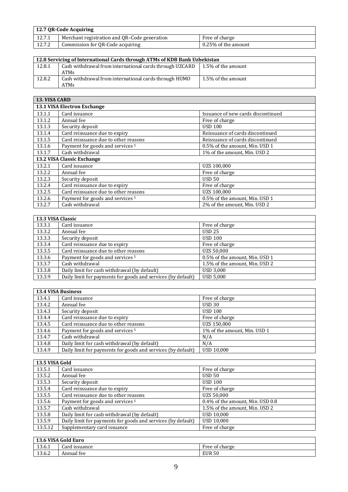| 12.7 OR-Code Acquiring |                                              |                     |
|------------------------|----------------------------------------------|---------------------|
| 12.7.1                 | Merchant registration and QR-Code generation | Free of charge      |
| 12.7.2                 | Commission for QR-Code acquiring             | 0.25% of the amount |

| 12.8 Servicing of International Cards through ATMs of KDB Bank Uzbekistan |                                                                        |                    |
|---------------------------------------------------------------------------|------------------------------------------------------------------------|--------------------|
| 12.8.1                                                                    | Cash withdrawal from international cards through UZCARD<br><b>ATMs</b> | 1.5% of the amount |
| 12.8.2                                                                    | Cash withdrawal from international cards through HUMO<br>ATMs          | 1.5% of the amount |

| <b>13. VISA CARD</b>       |                                             |                                    |  |
|----------------------------|---------------------------------------------|------------------------------------|--|
|                            | <b>13.1 VISA Electron Exchange</b>          |                                    |  |
| 13.1.1                     | Card issuance                               | Issuance of new cards discontinued |  |
| 13.1.2                     | Annual fee                                  | Free of charge                     |  |
| 13.1.3                     | Security deposit                            | <b>USD 100</b>                     |  |
| 13.1.4                     | Card reissuance due to expiry               | Reissuance of cards discontinued   |  |
| 13.1.5                     | Card reissuance due to other reasons        | Reissuance of cards discontinued   |  |
| 13.1.6                     | Payment for goods and services <sup>5</sup> | 0.5% of the amount, Min. USD 1     |  |
| 13.1.7                     | Cash withdrawal                             | 1% of the amount, Min. USD 2       |  |
| 13.2 VISA Classic Exchange |                                             |                                    |  |
| 13.2.1                     | Card issuance                               | UZS 100,000                        |  |
| 13.2.2                     | Annual fee                                  | Free of charge                     |  |
| 13.2.3                     | Security deposit                            | <b>USD 50</b>                      |  |
| 13.2.4                     | Card reissuance due to expiry               | Free of charge                     |  |
| 13.2.5                     | Card reissuance due to other reasons        | UZS 100,000                        |  |
| 13.2.6                     | Payment for goods and services <sup>5</sup> | 0.5% of the amount, Min. USD 1     |  |
| 13.2.7                     | Cash withdrawal                             | 2% of the amount, Min. USD 2       |  |

| 13.3 VISA Classic |                                                              |                                |
|-------------------|--------------------------------------------------------------|--------------------------------|
| 13.3.1            | Card issuance                                                | Free of charge                 |
| 13.3.2            | Annual fee                                                   | <b>USD 25</b>                  |
| 13.3.3            | Security deposit                                             | <b>USD 100</b>                 |
| 13.3.4            | Card reissuance due to expiry                                | Free of charge                 |
| 13.3.5            | Card reissuance due to other reasons                         | <b>UZS 50,000</b>              |
| 13.3.6            | Payment for goods and services <sup>5</sup>                  | 0.5% of the amount, Min. USD 1 |
| 13.3.7            | Cash withdrawal                                              | 1.5% of the amount, Min. USD 2 |
| 13.3.8            | Daily limit for cash withdrawal (by default)                 | <b>USD 3,000</b>               |
| 13.3.9            | Daily limit for payments for goods and services (by default) | <b>USD 5,000</b>               |

| <b>13.4 VISA Business</b> |                                                              |                              |
|---------------------------|--------------------------------------------------------------|------------------------------|
| 13.4.1                    | Card issuance                                                | Free of charge               |
| 13.4.2                    | Annual fee                                                   | <b>USD 30</b>                |
| 13.4.3                    | Security deposit                                             | <b>USD 100</b>               |
| 13.4.4                    | Card reissuance due to expiry                                | Free of charge               |
| 13.4.5                    | Card reissuance due to other reasons                         | UZS 150.000                  |
| 13.4.6                    | Payment for goods and services <sup>5</sup>                  | 1% of the amount, Min. USD 1 |
| 13.4.7                    | Cash withdrawal                                              | N/A                          |
| 13.4.8                    | Daily limit for cash withdrawal (by default)                 | N/A                          |
| 13.4.9                    | Daily limit for payments for goods and services (by default) | <b>USD 10.000</b>            |

| 13.5 VISA Gold |                                                              |                                  |
|----------------|--------------------------------------------------------------|----------------------------------|
| 13.5.1         | Card issuance                                                | Free of charge                   |
| 13.5.2         | Annual fee                                                   | <b>USD 50</b>                    |
| 13.5.3         | Security deposit                                             | <b>USD 100</b>                   |
| 13.5.4         | Card reissuance due to expiry                                | Free of charge                   |
| 13.5.5         | Card reissuance due to other reasons                         | UZS 50,000                       |
| 13.5.6         | Payment for goods and services <sup>5</sup>                  | 0.4% of the amount, Min. USD 0.8 |
| 13.5.7         | Cash withdrawal                                              | 1.5% of the amount, Min. USD 2   |
| 13.5.8         | Daily limit for cash withdrawal (by default)                 | <b>USD 10,000</b>                |
| 13.5.9         | Daily limit for payments for goods and services (by default) | <b>USD 10,000</b>                |
| 13.5.12        | Supplementary card issuance                                  | Free of charge                   |

| 13.6 VISA Gold Euro |               |                |
|---------------------|---------------|----------------|
| 13.6.1              | Card issuance | Free of charge |
| 13.6.2              | Annual fee    | <b>EUR 50</b>  |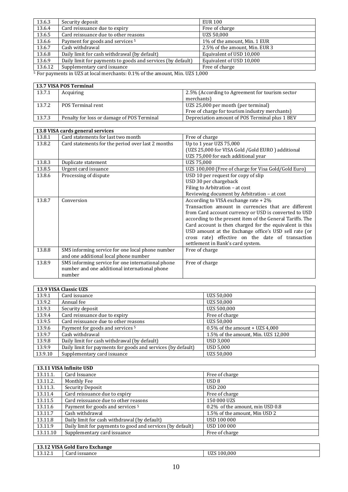| 13.6.3  | Security deposit                                            | <b>EUR 100</b>                 |
|---------|-------------------------------------------------------------|--------------------------------|
| 13.6.4  | Card reissuance due to expiry                               | Free of charge                 |
| 13.6.5  | Card reissuance due to other reasons                        | UZS 50,000                     |
| 13.6.6  | Payment for goods and services <sup>5</sup>                 | 1% of the amount, Min. 1 EUR   |
| 13.6.7  | Cash withdrawal                                             | 2.5% of the amount, Min. EUR 3 |
| 13.6.8  | Daily limit for cash withdrawal (by default)                | Equivalent of USD 10,000       |
| 13.6.9  | Daily limit for payments to goods and services (by default) | Equivalent of USD 10,000       |
| 13.6.12 | Supplementary card issuance                                 | Free of charge                 |

<sup>5</sup> For payments in UZS at local merchants: 0.1% of the amount, Min. UZS 1,000

|        | 13.7 VISA POS Terminal                     |                                                 |  |
|--------|--------------------------------------------|-------------------------------------------------|--|
| 13.7.1 | Acquiring                                  | 2.5% (According to Agreement for tourism sector |  |
|        |                                            | merchants)                                      |  |
| 13.7.2 | POS Terminal rent                          | UZS 25,000 per month (per terminal)             |  |
|        |                                            | Free of charge for tourism industry merchants)  |  |
| 13.7.3 | Penalty for loss or damage of POS Terminal | Depreciation amount of POS Terminal plus 1 BEV  |  |

|        | 13.8 VISA cards general services                                                                             |                                                                                                                                                                                                                                                                                                                                                                                                                                |  |
|--------|--------------------------------------------------------------------------------------------------------------|--------------------------------------------------------------------------------------------------------------------------------------------------------------------------------------------------------------------------------------------------------------------------------------------------------------------------------------------------------------------------------------------------------------------------------|--|
| 13.8.1 | Card statements for last two month                                                                           | Free of charge                                                                                                                                                                                                                                                                                                                                                                                                                 |  |
| 13.8.2 | Card statements for the period over last 2 months                                                            | Up to 1 year UZS 75,000<br>(UZS 25,000 for VISA Gold / Gold EURO) additional<br>UZS 75,000 for each additional year                                                                                                                                                                                                                                                                                                            |  |
| 13.8.3 | Duplicate statement                                                                                          | UZS 75,000                                                                                                                                                                                                                                                                                                                                                                                                                     |  |
| 13.8.5 | Urgent card issuance                                                                                         | UZS 100,000 (Free of charge for Visa Gold/Gold Euro)                                                                                                                                                                                                                                                                                                                                                                           |  |
| 13.8.6 | Processing of dispute                                                                                        | USD 10 per request for copy of slip<br>USD 30 per chargeback<br>Filing to Arbitration - at cost<br>Reviewing document by Arbitration - at cost                                                                                                                                                                                                                                                                                 |  |
| 13.8.7 | Conversion                                                                                                   | According to VISA exchange rate + 2%<br>Transaction amount in currencies that are different<br>from Card account currency or USD is converted to USD<br>according to the present item of the General Tariffs. The<br>Card account is then charged for the equivalent is this<br>USD amount at the Exchange office's USD sell rate (or<br>cross rate) effective on the date of transaction<br>settlement in Bank's card system. |  |
| 13.8.8 | SMS informing service for one local phone number<br>and one additional local phone number                    | Free of charge                                                                                                                                                                                                                                                                                                                                                                                                                 |  |
| 13.8.9 | SMS informing service for one international phone<br>number and one additional international phone<br>number | Free of charge                                                                                                                                                                                                                                                                                                                                                                                                                 |  |

| 13.9 VISA Classic UZS |                                                              |                                     |
|-----------------------|--------------------------------------------------------------|-------------------------------------|
| 13.9.1                | Card issuance                                                | UZS 50,000                          |
| 13.9.2                | Annual fee                                                   | UZS 50,000                          |
| 13.9.3                | Security deposit                                             | UZS 500,000                         |
| 13.9.4                | Card reissuance due to expiry                                | Free of charge                      |
| 13.9.5                | Card reissuance due to other reasons                         | UZS 50,000                          |
| 13.9.6                | Payment for goods and services <sup>5</sup>                  | $0.5\%$ of the amount + UZS 4,000   |
| 13.9.7                | Cash withdrawal                                              | 1.5% of the amount, Min. UZS 12,000 |
| 13.9.8                | Daily limit for cash withdrawal (by default)                 | <b>USD 3,000</b>                    |
| 13.9.9                | Daily limit for payments for goods and services (by default) | <b>USD 5,000</b>                    |
| 13.9.10               | Supplementary card issuance                                  | UZS 50.000                          |

| 13.11 VISA Infinite USD |                                                            |                                 |
|-------------------------|------------------------------------------------------------|---------------------------------|
| 13.11.1.                | Card Issuance                                              | Free of charge                  |
| 13.11.2.                | Monthly Fee                                                | USD <sub>8</sub>                |
| 13.11.3.                | Security Deposit                                           | <b>USD 200</b>                  |
| 13.11.4                 | Card reissuance due to expiry                              | Free of charge                  |
| 13.11.5                 | Card reissuance due to other reasons                       | 150 000 UZS                     |
| 13.11.6                 | Payment for goods and services <sup>5</sup>                | 0.2% of the amount, min USD 0.8 |
| 13.11.7                 | Cash withdrawal                                            | 1.5% of the amount, Min USD 2   |
| 13.11.8                 | Daily limit for cash withdrawal (by default)               | <b>USD 100 000</b>              |
| 13.11.9                 | Daily limit for payments to good and services (by default) | USD 100 000                     |
| 13.11.10                | Supplementary card issuance                                | Free of charge                  |

| <b>Gold Euro Exchange</b><br>.12 VISA<br>13. |                         |                       |
|----------------------------------------------|-------------------------|-----------------------|
| $\sim$<br>$1^{\circ}$<br>19.TT.T             | <u>issuance</u><br>∪ard | 100.000<br><b>UZS</b> |
|                                              |                         |                       |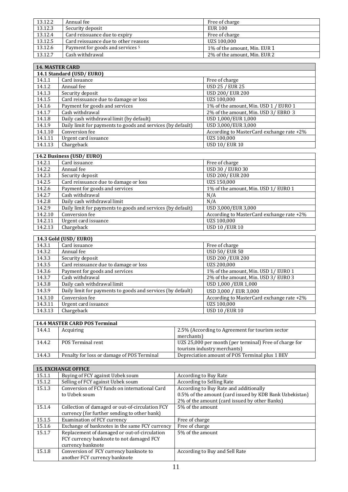| 13.12.2                | Annual fee                                  | Free of charge               |
|------------------------|---------------------------------------------|------------------------------|
| 13.12.3                | Security deposit                            | <b>EUR 100</b>               |
| 13.12.4                | Card reissuance due to expiry               | Free of charge               |
| 13.12.5                | Card reissuance due to other reasons        | UZS 100,000                  |
| 13.12.6                | Payment for goods and services <sup>5</sup> | 1% of the amount, Min. EUR 1 |
| 13.12.7                | Cash withdrawal                             | 2% of the amount, Min. EUR 2 |
|                        |                                             |                              |
| <b>14. MASTER CARD</b> |                                             |                              |
|                        | 14.1 Standard (USD/EURO)                    |                              |
| 14.1.1                 | Card issuance                               | Free of charge               |
| $1112$                 | Annual                                      | $I$ ICD $25$ / $F$ IID $25$  |

| 14.1.2  | Annual fee                                                  | <b>USD 25 / EUR 25</b>                    |
|---------|-------------------------------------------------------------|-------------------------------------------|
| 14.1.3  | Security deposit                                            | <b>USD 200/ EUR 200</b>                   |
| 14.1.5  | Card reissuance due to damage or loss                       | UZS 100,000                               |
| 14.1.6  | Payment for goods and services                              | 1% of the amount, Min. USD 1 / EURO 1     |
| 14.1.7  | Cash withdrawal                                             | 2% of the amount, Min. USD 3/ EBRO 3      |
| 14.1.8  | Daily cash withdrawal limit (by default)                    | USD 1,000/EUR 1,000                       |
| 14.1.9  | Daily limit for payments to goods and services (by default) | USD 3,000/EUR 3,000                       |
| 14.1.10 | Conversion fee                                              | According to MasterCard exchange rate +2% |
| 14.1.11 | Urgent card issuance                                        | UZS 100,000                               |
| 14.1.13 | Chargeback                                                  | <b>USD 10/ EUR 10</b>                     |

٦

 $\overline{\phantom{a}}$ 

## **14.2 Business (USD/ EURO)**

| 14.2.1  | Card issuance                                               | Free of charge                            |
|---------|-------------------------------------------------------------|-------------------------------------------|
| 14.2.2  | Annual fee                                                  | <b>USD 30 / EURO 30</b>                   |
| 14.2.3  | Security deposit                                            | <b>USD 200/ EUR 200</b>                   |
| 14.2.5  | Card reissuance due to damage or loss                       | UZS 150,000                               |
| 14.2.6  | Payment for goods and services                              | 1% of the amount, Min. USD 1/ EURO 1      |
| 14.2.7  | Cash withdrawal                                             | N/A                                       |
| 14.2.8  | Daily cash withdrawal limit                                 | N/A                                       |
| 14.2.9  | Daily limit for payments to goods and services (by default) | USD 3,000/EUR 3,000                       |
| 14.2.10 | Conversion fee                                              | According to MasterCard exchange rate +2% |
| 14.2.11 | Urgent card issuance                                        | UZS 100,000                               |
| 14.2.13 | Chargeback                                                  | <b>USD 10 /EUR 10</b>                     |

| 14.3 Gold (USD/EURO) |                                                             |                                           |
|----------------------|-------------------------------------------------------------|-------------------------------------------|
| 14.3.1               | Card issuance                                               | Free of charge                            |
| 14.3.2               | Annual fee                                                  | <b>USD 50/ EUR 50</b>                     |
| 14.3.3               | Security deposit                                            | <b>USD 200 / EUR 200</b>                  |
| 14.3.5               | Card reissuance due to damage or loss                       | UZS 200,000                               |
| 14.3.6               | Payment for goods and services                              | 1% of the amount, Min. USD 1/ EURO 1      |
| 14.3.7               | Cash withdrawal                                             | 2% of the amount, Min. USD 3/ EURO 3      |
| 14.3.8               | Daily cash withdrawal limit                                 | USD 1,000 / EUR 1,000                     |
| 14.3.9               | Daily limit for payments to goods and services (by default) | USD 3,000 / EUR 3,000                     |
| 14.3.10              | Conversion fee                                              | According to MasterCard exchange rate +2% |
| 14.3.11              | Urgent card issuance                                        | UZS 100,000                               |
| 14.3.13              | Chargeback                                                  | <b>USD 10 / EUR 10</b>                    |

| <b>14.4 MASTER CARD POS Terminal</b> |                                            |                                                        |
|--------------------------------------|--------------------------------------------|--------------------------------------------------------|
| 14.4.1                               | Acquiring                                  | 2.5% (According to Agreement for tourism sector        |
|                                      |                                            | merchants)                                             |
| 14.4.2                               | POS Terminal rent                          | UZS 25,000 per month (per terminal) Free of charge for |
|                                      |                                            | tourism industry merchants)                            |
| 14.4.3                               | Penalty for loss or damage of POS Terminal | Depreciation amount of POS Terminal plus 1 BEV         |

| <b>15. EXCHANGE OFFICE</b> |                                                 |                                                         |
|----------------------------|-------------------------------------------------|---------------------------------------------------------|
| 15.1.1                     | Buying of FCY against Uzbek soum                | <b>According to Buy Rate</b>                            |
| 15.1.2                     | Selling of FCY against Uzbek soum               | According to Selling Rate                               |
| 15.1.3                     | Conversion of FCY funds on international Card   | According to Buy Rate and additionally                  |
|                            | to Uzbek soum                                   | 0.5% of the amount (card issued by KDB Bank Uzbekistan) |
|                            |                                                 | 2% of the amount (card issued by other Banks)           |
| 15.1.4                     | Collection of damaged or out-of-circulation FCY | 5% of the amount                                        |
|                            | currency (for further sending to other bank)    |                                                         |
| 15.1.5                     | Examination of FCY currency                     | Free of charge                                          |
| 15.1.6                     | Exchange of banknotes in the same FCY currency  | Free of charge                                          |
| 15.1.7                     | Replacement of damaged or out-of-circulation    | 5% of the amount                                        |
|                            | FCY currency banknote to not damaged FCY        |                                                         |
|                            | currency banknote                               |                                                         |
| 15.1.8                     | Conversion of FCY currency banknote to          | According to Buy and Sell Rate                          |
|                            | another FCY currency banknote                   |                                                         |